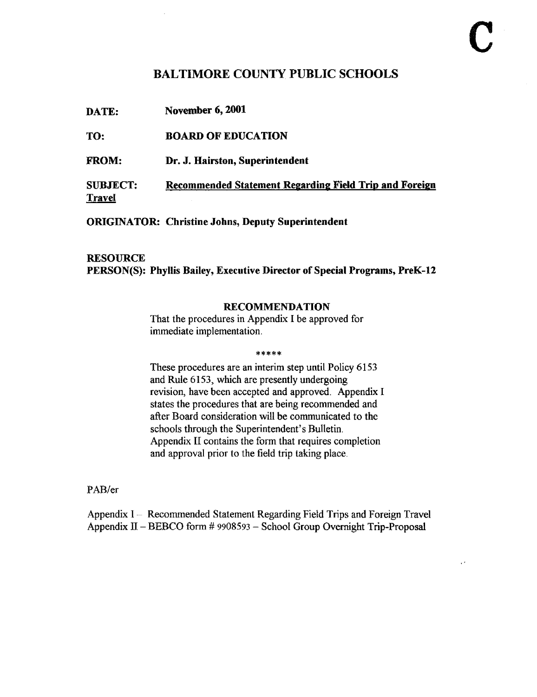# BALTIMORE COUNTY PUBLIC SCHOOLS

| DATE:                            | <b>November 6, 2001</b>                                |
|----------------------------------|--------------------------------------------------------|
| TO:                              | <b>BOARD OF EDUCATION</b>                              |
| <b>FROM:</b>                     | Dr. J. Hairston, Superintendent                        |
| <b>SUBJECT:</b><br><b>Travel</b> | Recommended Statement Regarding Field Trip and Foreign |

ORIGINATOR: Christine Johns, Deputy Superintendent

 $\bar{z}$ 

# **RESOURCE** PERSON(S): Phyllis Bailey, Executive Director of Special Programs, PreK-12

## RECOMMENDATION

That the procedures in Appendix <sup>I</sup> be approved for immediate implementation.

#### \*\*\*\*\*

These procedures are an interim step until Policy 6153 and Rule 6153, which are presently undergoing revision, have been accepted and approved. Appendix I states the procedures that are being recommended and after Board consideration will be communicated to the schools through the Superintendent's Bulletin. Appendix II contains the form that requires completion and approval prior to the field trip taking place.

## PAB/er

Appendix <sup>I</sup> - Recommended Statement Regarding Field Trips and Foreign Travel Appendix <sup>11</sup> - BEBCO form # <sup>9908593</sup> - School Group Overnight Trip-Proposal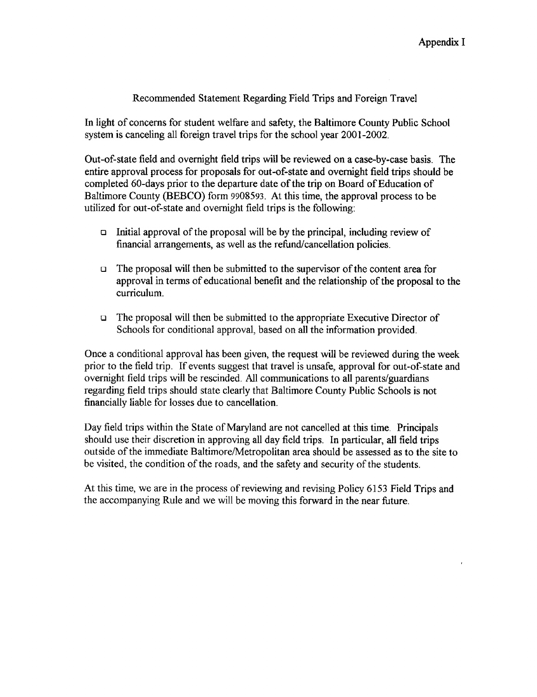## Recommended Statement Regarding Field Trips and Foreign Travel

In light of concerns for student welfare and safety, the Baltimore County Public School system is canceling all foreign travel trips for the school year 2001-2002.

Out-of-state field and overnight field trips will be reviewed on a case-by-case basis . The entire approval process for proposals for out-of-state and overnight field trips should be completed 60-days prior to the departure date of the trip on Board of Education of Baltimore County (BEBCO) form 9908593. At this time, the approval process to be utilized for out-of-state and overnight field trips is the following:

- Initial approval of the proposal will be by the principal, including review of financial arrangements, as well as the refund/cancellation policies.
- The proposal will be by the principal, including review of<br>financial arrangements, as well as the refund/cancellation policies.<br>The proposal will then be submitted to the supervisor of the content area for<br>approval in ter approval in terms of educational benefit and the relationship of the proposal to the curriculum.
	- $\Box$  The proposal will then be submitted to the appropriate Executive Director of Schools for conditional approval, based on all the information provided.

Once a conditional approval has been given, the request will be reviewed during the week prior to the field trip. If events suggest that travel is unsafe, approval for out-of-state and overnight field trips will be rescinded. All communications to all parents/guardians regarding field trips should state clearly that Baltimore County Public Schools is not financially liable for losses due to cancellation.

Day field trips within the State of Maryland are not cancelled at this time. Principals should use their discretion in approving all day field trips. In particular, all field trips outside of the immediate Baltimore/Metropolitan area should be assessed as to the site to be visited, the condition of the roads, and the safety and security of the students.

At this time, we are in the process of reviewing and revising Policy 6153 Field Trips and the accompanying Rule and we will be moving this forward in the near future.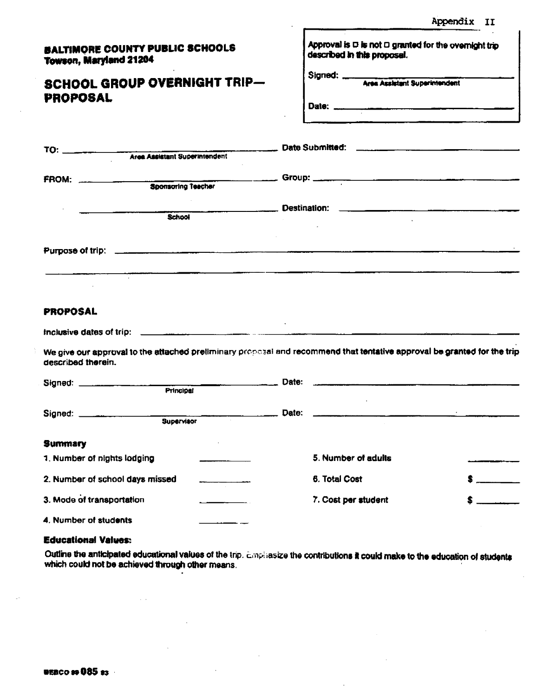Appendix Ii

| <b>BALTIMORE COUNTY PUBLIC SCHOOLS</b> |  |
|----------------------------------------|--|
| <b>Towson, Maryland 21204</b>          |  |

TO:

Τ

# SCHOOL GROUP OVERNIGHT TRIP-PROPOSAL

Area Assistant Superintendent

| Signed: ____ |                                      |
|--------------|--------------------------------------|
|              | <b>Area Assistant Superintendent</b> |
| Date: ___    |                                      |
|              |                                      |

| FROM:           | <u> 1980 - Jan James James Barnett, martin amerikan bahasa perang perang perang perang perang perang perang perang</u><br>Sponsoring Teacher |  |
|-----------------|----------------------------------------------------------------------------------------------------------------------------------------------|--|
|                 | School                                                                                                                                       |  |
|                 |                                                                                                                                              |  |
| <b>PROPOSAL</b> |                                                                                                                                              |  |

Inclusive dates of trip: 

We give our approval to the attached preliminary proposal and recommend that tentative approval be granted for the trip described therein.

| Signed: _____________________<br>Principal |  | Date: |                     |  |
|--------------------------------------------|--|-------|---------------------|--|
| Signed: ____________<br><b>Supervisor</b>  |  | Date: |                     |  |
| <b>Summary</b>                             |  |       |                     |  |
| 1. Number of nights lodging                |  |       | 5. Number of adults |  |
| 2. Number of school days missed            |  |       | 6. Total Cost       |  |
| 3. Mode of transportation                  |  |       | 7. Cost per student |  |
| 4. Number of students                      |  |       |                     |  |
| <b>Educational Values:</b>                 |  |       |                     |  |

#### Educational Values:

Outline the anticipated educational values of the trip. Emphasize the contributions it could make to the education of students which could not be achieved through other means.